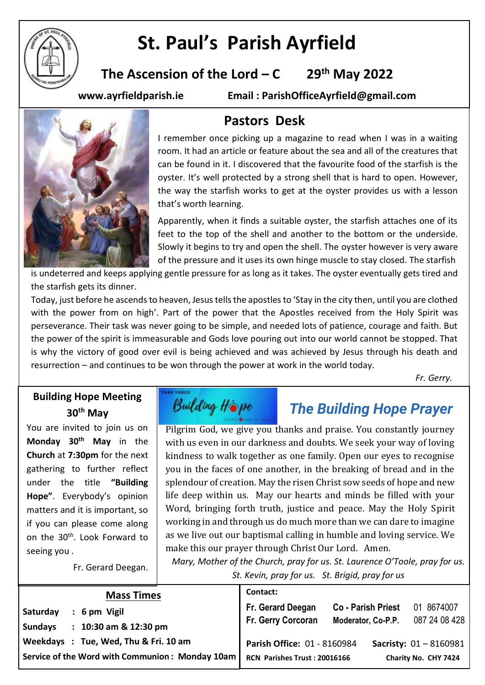

# **St. Paul's Parish Ayrfield**

**The Ascension of the Lord – C 29 th May 2022**

**www.ayrfieldparish.ie Email : ParishOfficeAyrfield@gmail.com**



# **Pastors Desk**

I remember once picking up a magazine to read when I was in a waiting room. It had an article or feature about the sea and all of the creatures that can be found in it. I discovered that the favourite food of the starfish is the oyster. It's well protected by a strong shell that is hard to open. However, the way the starfish works to get at the oyster provides us with a lesson that's worth learning.

Apparently, when it finds a suitable oyster, the starfish attaches one of its feet to the top of the shell and another to the bottom or the underside. Slowly it begins to try and open the shell. The oyster however is very aware of the pressure and it uses its own hinge muscle to stay closed. The starfish

is undeterred and keeps applying gentle pressure for as long as it takes. The oyster eventually gets tired and the starfish gets its dinner.

Today, just before he ascends to heaven, Jesus tells the apostles to 'Stay in the city then, until you are clothed with the power from on high'. Part of the power that the Apostles received from the Holy Spirit was perseverance. Their task was never going to be simple, and needed lots of patience, courage and faith. But the power of the spirit is immeasurable and Gods love pouring out into our world cannot be stopped. That is why the victory of good over evil is being achieved and was achieved by Jesus through his death and resurrection – and continues to be won through the power at work in the world today.

*Fr. Gerry.*

## **Building Hope Meeting 30th May**

You are invited to join us on **Monday 30th May** in the **Church** at **7:30pm** for the next gathering to further reflect under the title **"Building Hope"**. Everybody's opinion matters and it is important, so if you can please come along on the 30<sup>th</sup>. Look Forward to seeing you .

Fr. Gerard Deegan.



# *The Building Hope Prayer*

Pilgrim God, we give you thanks and praise. You constantly journey with us even in our darkness and doubts. We seek your way of loving kindness to walk together as one family. Open our eyes to recognise you in the faces of one another, in the breaking of bread and in the splendour of creation. May the risen Christ sow seeds of hope and new life deep within us. May our hearts and minds be filled with your Word, bringing forth truth, justice and peace. May the Holy Spirit working in and through us do much more than we can dare to imagine as we live out our baptismal calling in humble and loving service. We make this our prayer through Christ Our Lord. Amen.

*Mary, Mother of the Church, pray for us. St. Laurence O'Toole, pray for us. St. Kevin, pray for us. St. Brigid, pray for us*

| <b>Mass Times</b>                                                                       |  | Contact:                                                    |                                                 |                                                         |
|-----------------------------------------------------------------------------------------|--|-------------------------------------------------------------|-------------------------------------------------|---------------------------------------------------------|
| Saturday<br>6 pm Vigil<br>10:30 am & 12:30 pm<br><b>Sundays</b>                         |  | Fr. Gerard Deegan<br><b>Fr. Gerry Corcoran</b>              | <b>Co - Parish Priest</b><br>Moderator, Co-P.P. | 01 8674007<br>087 24 08 428                             |
| Weekdays: Tue, Wed, Thu & Fri. 10 am<br>Service of the Word with Communion: Monday 10am |  | Parish Office: 01 - 8160984<br>RCN Parishes Trust: 20016166 |                                                 | <b>Sacristy:</b> $01 - 8160981$<br>Charity No. CHY 7424 |